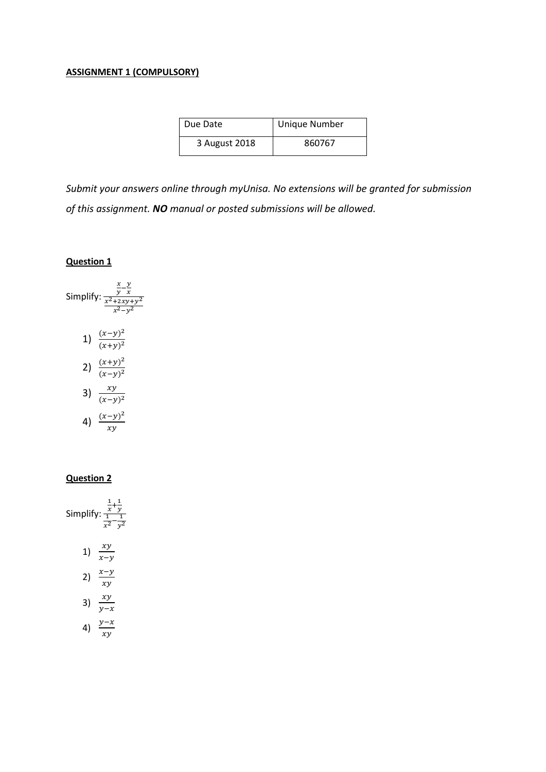## **ASSIGNMENT 1 (COMPULSORY)**

| Due Date      | <b>Unique Number</b> |  |
|---------------|----------------------|--|
| 3 August 2018 | 860767               |  |

*Submit your answers online through myUnisa. No extensions will be granted for submission of this assignment. NO manual or posted submissions will be allowed.*

### **Question 1**



## **Question 2**

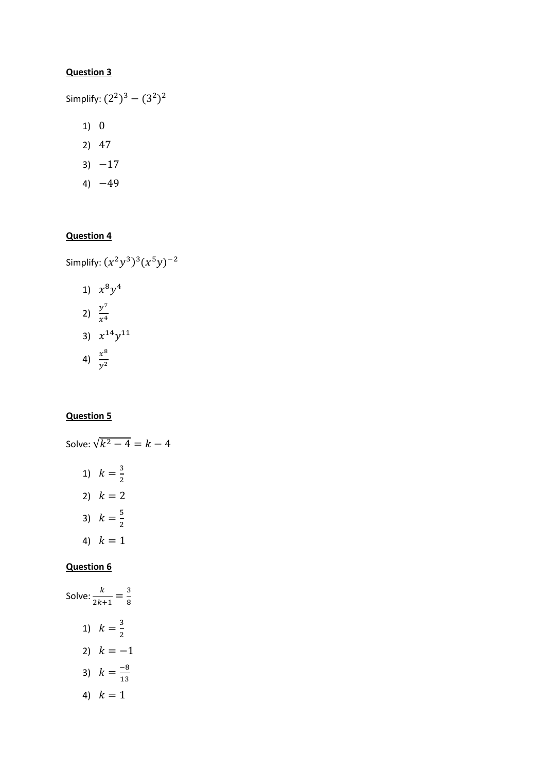Simplify:  $(2^2)^3 - (3^2)^2$ 

- 1) 0
- 2) 47
- $3) -17$
- 4)  $-49$

# **Question 4**

Simplify:  $(x^2y^3)^3(x^5y)^{-2}$ 

1) 
$$
x^8 y^4
$$
  
\n2)  $\frac{y^7}{x^4}$   
\n3)  $x^{14} y^{11}$   
\n4)  $\frac{x^8}{y^2}$ 

# **Question 5**

Solve:  $\sqrt{k^2 - 4} = k - 4$ 1)  $k=\frac{3}{3}$ 2 2)  $k = 2$ 3)  $k = \frac{5}{3}$ 2 4)  $k = 1$ 

# **Question 6**

Solve: 
$$
\frac{k}{2k+1} = \frac{3}{8}
$$
  
\n1)  $k = \frac{3}{2}$   
\n2)  $k = -1$   
\n3)  $k = \frac{-8}{13}$   
\n4)  $k = 1$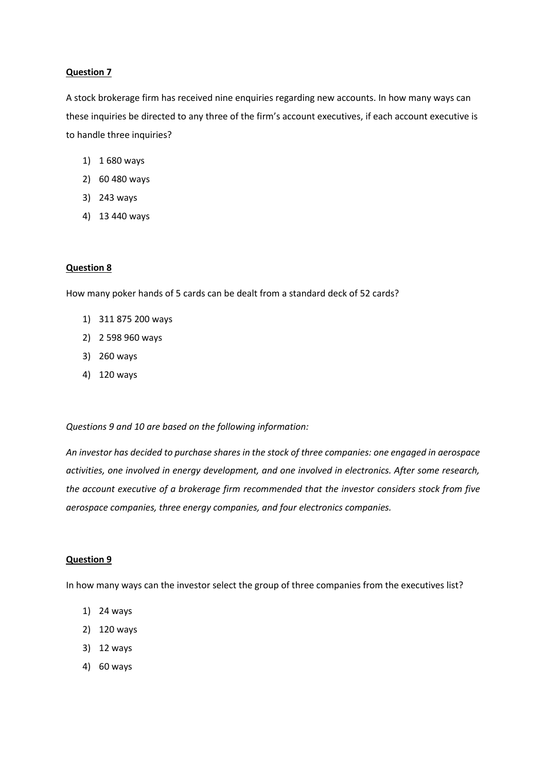A stock brokerage firm has received nine enquiries regarding new accounts. In how many ways can these inquiries be directed to any three of the firm's account executives, if each account executive is to handle three inquiries?

- 1) 1 680 ways
- 2) 60 480 ways
- 3) 243 ways
- 4) 13 440 ways

#### **Question 8**

How many poker hands of 5 cards can be dealt from a standard deck of 52 cards?

- 1) 311 875 200 ways
- 2) 2 598 960 ways
- 3) 260 ways
- 4) 120 ways

*Questions 9 and 10 are based on the following information:*

*An investor has decided to purchase shares in the stock of three companies: one engaged in aerospace activities, one involved in energy development, and one involved in electronics. After some research, the account executive of a brokerage firm recommended that the investor considers stock from five aerospace companies, three energy companies, and four electronics companies.* 

## **Question 9**

In how many ways can the investor select the group of three companies from the executives list?

- 1) 24 ways
- 2) 120 ways
- 3) 12 ways
- 4) 60 ways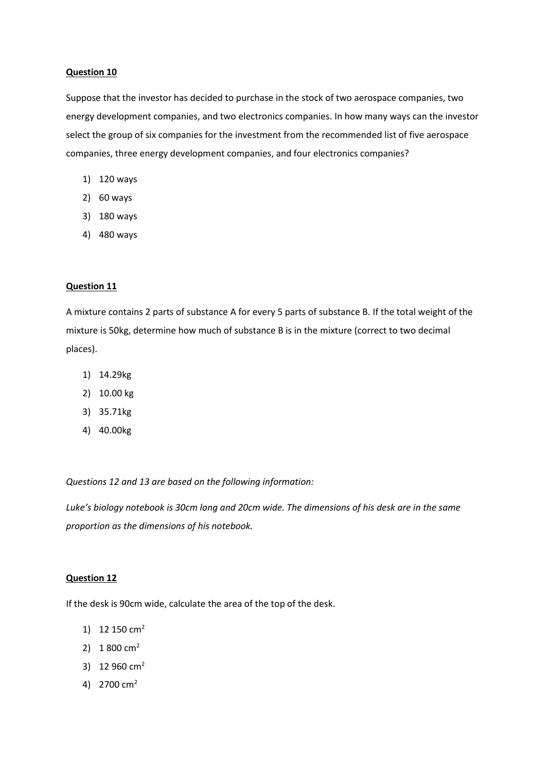Suppose that the investor has decided to purchase in the stock of two aerospace companies, two energy development companies, and two electronics companies. In how many ways can the investor select the group of six companies for the investment from the recommended list of five aerospace companies, three energy development companies, and four electronics companies?

- 1) 120 ways
- 2) 60 ways
- 3) 180 ways
- 4) 480 ways

### **Question 11**

A mixture contains 2 parts of substance A for every 5 parts of substance B. If the total weight of the mixture is 50kg, determine how much of substance B is in the mixture (correct to two decimal places).

- 1) 14.29kg
- 2) 10.00 kg
- 3) 35.71kg
- 4) 40.00kg

*Questions 12 and 13 are based on the following information:*

*Luke's biology notebook is 30cm long and 20cm wide. The dimensions of his desk are in the same proportion as the dimensions of his notebook.*

### **Question 12**

If the desk is 90cm wide, calculate the area of the top of the desk.

- 1) 12 150  $cm<sup>2</sup>$
- 2)  $1800 \text{ cm}^2$
- 3) 12 960 cm<sup>2</sup>
- 4) 2700 cm<sup>2</sup>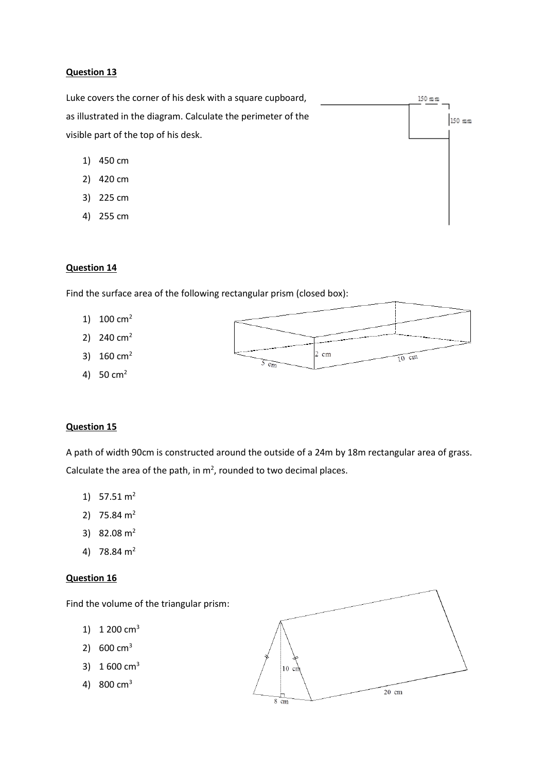Luke covers the corner of his desk with a square cupboard,  $150~\mathrm{mm}$ as illustrated in the diagram. Calculate the perimeter of the 150 mm visible part of the top of his desk.

- 1) 450 cm
- 2) 420 cm
- 3) 225 cm
- 4) 255 cm

### **Question 14**

Find the surface area of the following rectangular prism (closed box):

- 1)  $100 \text{ cm}^2$
- 2)  $240 \text{ cm}^2$
- 3) 160 cm<sup>2</sup>
- 4) 50 cm<sup>2</sup>



## **Question 15**

A path of width 90cm is constructed around the outside of a 24m by 18m rectangular area of grass. Calculate the area of the path, in  $m^2$ , rounded to two decimal places.

- 1)  $57.51 \text{ m}^2$
- 2)  $75.84 \text{ m}^2$
- 3)  $82.08 \text{ m}^2$
- 4) 78.84 m<sup>2</sup>

## **Question 16**

Find the volume of the triangular prism:

- 1)  $1,200 \text{ cm}^3$
- 2) 600 cm<sup>3</sup>
- 3) 1 600 cm<sup>3</sup>
- 4) 800 cm<sup>3</sup>

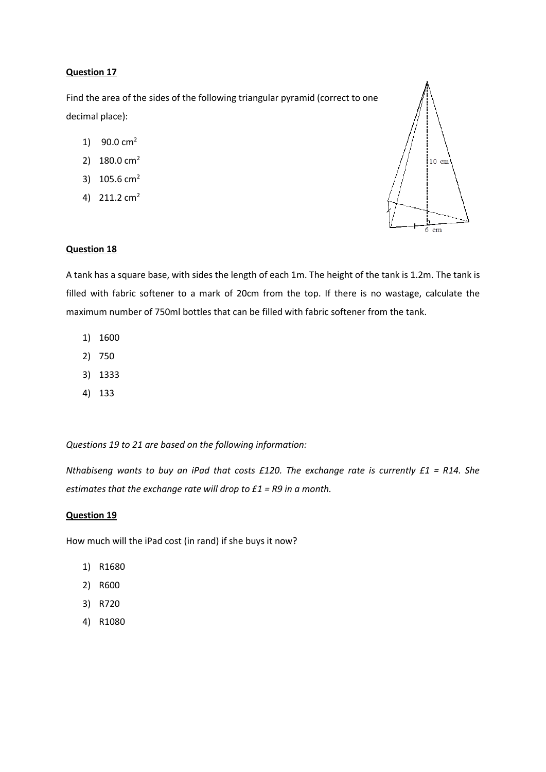Find the area of the sides of the following triangular pyramid (correct to one decimal place):

- 1) 90.0  $cm<sup>2</sup>$
- 2) 180.0 cm<sup>2</sup>
- 3) 105.6 cm<sup>2</sup>
- 4)  $211.2 \text{ cm}^2$



#### **Question 18**

A tank has a square base, with sides the length of each 1m. The height of the tank is 1.2m. The tank is filled with fabric softener to a mark of 20cm from the top. If there is no wastage, calculate the maximum number of 750ml bottles that can be filled with fabric softener from the tank.

- 1) 1600
- 2) 750
- 3) 1333
- 4) 133

*Questions 19 to 21 are based on the following information:*

*Nthabiseng wants to buy an iPad that costs £120. The exchange rate is currently £1 = R14. She estimates that the exchange rate will drop to £1 = R9 in a month.*

#### **Question 19**

How much will the iPad cost (in rand) if she buys it now?

- 1) R1680
- 2) R600
- 3) R720
- 4) R1080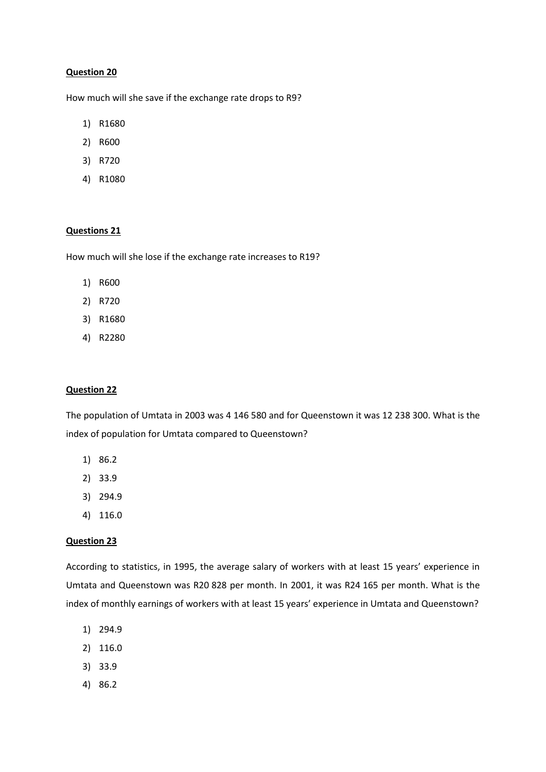How much will she save if the exchange rate drops to R9?

- 1) R1680
- 2) R600
- 3) R720
- 4) R1080

#### **Questions 21**

How much will she lose if the exchange rate increases to R19?

- 1) R600
- 2) R720
- 3) R1680
- 4) R2280

### **Question 22**

The population of Umtata in 2003 was 4 146 580 and for Queenstown it was 12 238 300. What is the index of population for Umtata compared to Queenstown?

- 1) 86.2
- 2) 33.9
- 3) 294.9
- 4) 116.0

#### **Question 23**

According to statistics, in 1995, the average salary of workers with at least 15 years' experience in Umtata and Queenstown was R20 828 per month. In 2001, it was R24 165 per month. What is the index of monthly earnings of workers with at least 15 years' experience in Umtata and Queenstown?

- 1) 294.9
- 2) 116.0
- 3) 33.9
- 4) 86.2